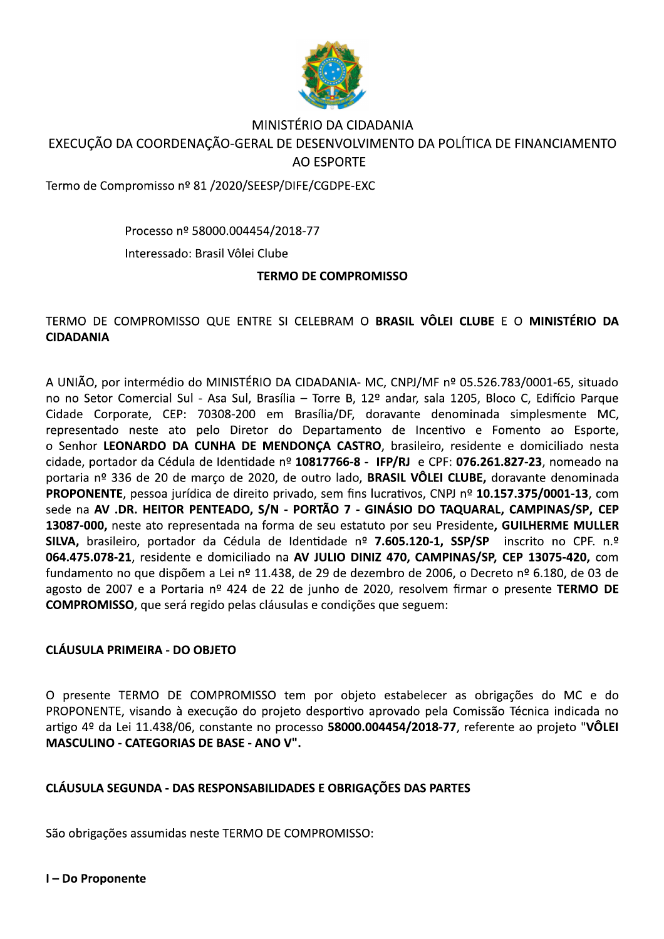

## MINISTÉRIO DA CIDADANIA EXECUÇÃO DA COORDENAÇÃO-GERAL DE DESENVOLVIMENTO DA POLÍTICA DE FINANCIAMENTO **AO ESPORTE**

Termo de Compromisso nº 81 /2020/SEESP/DIFE/CGDPE-EXC

Processo nº 58000.004454/2018-77

Interessado: Brasil Vôlei Clube

#### **TERMO DE COMPROMISSO**

## TERMO DE COMPROMISSO QUE ENTRE SI CELEBRAM O BRASIL VÔLEI CLUBE E O MINISTÉRIO DA **CIDADANIA**

A UNIÃO, por intermédio do MINISTÉRIO DA CIDADANIA- MC, CNPJ/MF nº 05.526.783/0001-65, situado no no Setor Comercial Sul - Asa Sul, Brasília - Torre B, 12º andar, sala 1205, Bloco C, Edifício Parque Cidade Corporate, CEP: 70308-200 em Brasília/DF, doravante denominada simplesmente MC, representado neste ato pelo Diretor do Departamento de Incentivo e Fomento ao Esporte, o Senhor LEONARDO DA CUNHA DE MENDONCA CASTRO, brasileiro, residente e domiciliado nesta cidade, portador da Cédula de Identidade nº 10817766-8 - IFP/RJ e CPF: 076.261.827-23, nomeado na portaria nº 336 de 20 de março de 2020, de outro lado, BRASIL VÔLEI CLUBE, doravante denominada PROPONENTE, pessoa jurídica de direito privado, sem fins lucrativos, CNPJ nº 10.157.375/0001-13, com sede na AV .DR. HEITOR PENTEADO, S/N - PORTÃO 7 - GINÁSIO DO TAQUARAL, CAMPINAS/SP, CEP 13087-000, neste ato representada na forma de seu estatuto por seu Presidente, GUILHERME MULLER SILVA, brasileiro, portador da Cédula de Identidade nº 7.605.120-1, SSP/SP inscrito no CPF. n.º 064.475.078-21, residente e domiciliado na AV JULIO DINIZ 470, CAMPINAS/SP, CEP 13075-420, com fundamento no que dispõem a Lei nº 11.438, de 29 de dezembro de 2006, o Decreto nº 6.180, de 03 de agosto de 2007 e a Portaria nº 424 de 22 de junho de 2020, resolvem firmar o presente TERMO DE **COMPROMISSO**, que será regido pelas cláusulas e condições que seguem:

## **CLÁUSULA PRIMEIRA - DO OBJETO**

O presente TERMO DE COMPROMISSO tem por objeto estabelecer as obrigações do MC e do PROPONENTE, visando à execução do projeto desportivo aprovado pela Comissão Técnica indicada no artigo 4º da Lei 11.438/06, constante no processo 58000.004454/2018-77, referente ao projeto "VÔLEI **MASCULINO - CATEGORIAS DE BASE - ANO V".** 

## **CLÁUSULA SEGUNDA - DAS RESPONSABILIDADES E OBRIGAÇÕES DAS PARTES**

São obrigações assumidas neste TERMO DE COMPROMISSO:

I-Do Proponente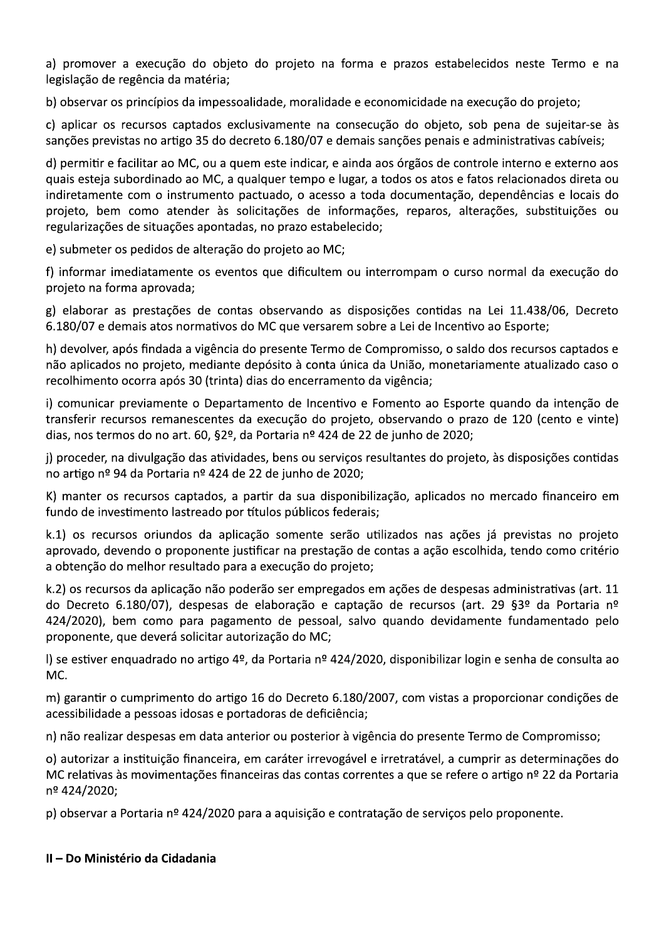a) promover a execução do objeto do projeto na forma e prazos estabelecidos neste Termo e na legislação de regência da matéria;

b) observar os princípios da impessoalidade, moralidade e economicidade na execução do projeto;

c) aplicar os recursos captados exclusivamente na consecução do objeto, sob pena de sujeitar-se às sanções previstas no artigo 35 do decreto 6.180/07 e demais sanções penais e administrativas cabíveis;

d) permitir e facilitar ao MC, ou a quem este indicar, e ainda aos órgãos de controle interno e externo aos quais esteja subordinado ao MC, a qualquer tempo e lugar, a todos os atos e fatos relacionados direta ou indiretamente com o instrumento pactuado, o acesso a toda documentação, dependências e locais do projeto, bem como atender às solicitações de informações, reparos, alterações, substituições ou regularizações de situações apontadas, no prazo estabelecido;

e) submeter os pedidos de alteração do projeto ao MC;

f) informar imediatamente os eventos que dificultem ou interrompam o curso normal da execução do projeto na forma aprovada;

g) elaborar as prestações de contas observando as disposições contidas na Lei 11.438/06, Decreto 6.180/07 e demais atos normativos do MC que versarem sobre a Lei de Incentivo ao Esporte;

h) devolver, após findada a vigência do presente Termo de Compromisso, o saldo dos recursos captados e não aplicados no projeto, mediante depósito à conta única da União, monetariamente atualizado caso o recolhimento ocorra após 30 (trinta) dias do encerramento da vigência;

i) comunicar previamente o Departamento de Incentivo e Fomento ao Esporte quando da intenção de transferir recursos remanescentes da execução do projeto, observando o prazo de 120 (cento e vinte) dias, nos termos do no art. 60, §2º, da Portaria nº 424 de 22 de junho de 2020;

j) proceder, na divulgação das atividades, bens ou serviços resultantes do projeto, às disposições contidas no artigo nº 94 da Portaria nº 424 de 22 de junho de 2020;

K) manter os recursos captados, a partir da sua disponibilização, aplicados no mercado financeiro em fundo de investimento lastreado por títulos públicos federais;

k.1) os recursos oriundos da aplicação somente serão utilizados nas ações já previstas no projeto aprovado, devendo o proponente justificar na prestação de contas a ação escolhida, tendo como critério a obtenção do melhor resultado para a execução do projeto;

k.2) os recursos da aplicação não poderão ser empregados em ações de despesas administrativas (art. 11 do Decreto 6.180/07), despesas de elaboração e captação de recursos (art. 29 §3º da Portaria nº 424/2020), bem como para pagamento de pessoal, salvo quando devidamente fundamentado pelo proponente, que deverá solicitar autorização do MC;

I) se estiver enquadrado no artigo 4º, da Portaria nº 424/2020, disponibilizar login e senha de consulta ao MC.

m) garantir o cumprimento do artigo 16 do Decreto 6.180/2007, com vistas a proporcionar condições de acessibilidade a pessoas idosas e portadoras de deficiência;

n) não realizar despesas em data anterior ou posterior à vigência do presente Termo de Compromisso;

o) autorizar a instituição financeira, em caráter irrevogável e irretratável, a cumprir as determinações do MC relativas às movimentações financeiras das contas correntes a que se refere o artigo nº 22 da Portaria nº 424/2020;

p) observar a Portaria nº 424/2020 para a aquisição e contratação de serviços pelo proponente.

#### II - Do Ministério da Cidadania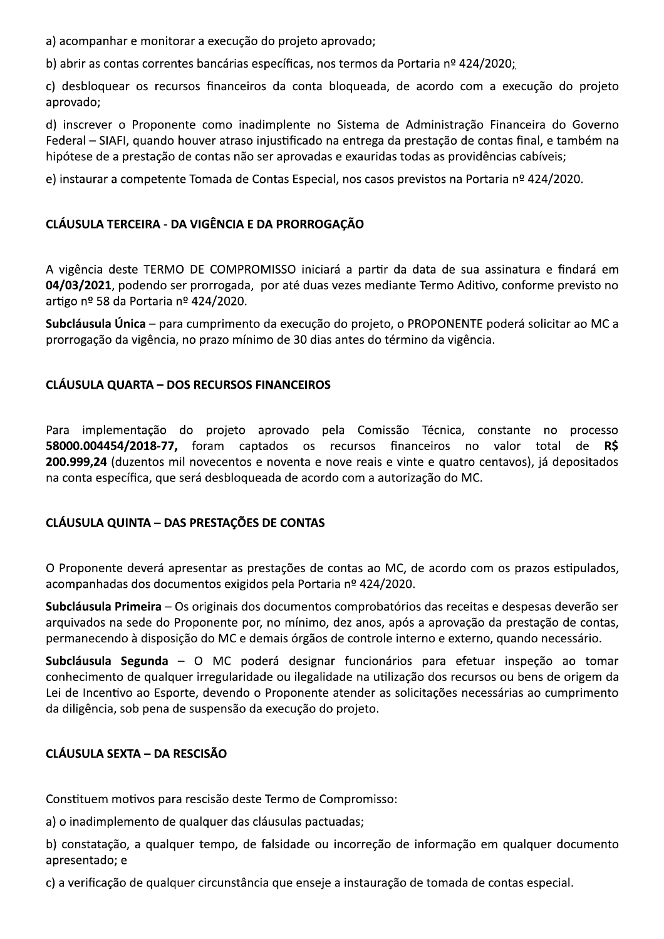a) acompanhar e monitorar a execução do projeto aprovado;

b) abrir as contas correntes bancárias específicas, nos termos da Portaria nº 424/2020;

c) desbloquear os recursos financeiros da conta bloqueada, de acordo com a execução do projeto aprovado;

d) inscrever o Proponente como inadimplente no Sistema de Administração Financeira do Governo Federal - SIAFI, quando houver atraso injustificado na entrega da prestação de contas final, e também na hipótese de a prestação de contas não ser aprovadas e exauridas todas as providências cabíveis;

e) instaurar a competente Tomada de Contas Especial, nos casos previstos na Portaria nº 424/2020.

## CLÁUSULA TERCEIRA - DA VIGÊNCIA E DA PRORROGAÇÃO

A vigência deste TERMO DE COMPROMISSO iniciará a partir da data de sua assinatura e findará em 04/03/2021, podendo ser prorrogada, por até duas vezes mediante Termo Aditivo, conforme previsto no artigo nº 58 da Portaria nº 424/2020.

Subcláusula Única - para cumprimento da execução do projeto, o PROPONENTE poderá solicitar ao MC a prorrogação da vigência, no prazo mínimo de 30 dias antes do término da vigência.

## **CLÁUSULA QUARTA - DOS RECURSOS FINANCEIROS**

Para implementação do projeto aprovado pela Comissão Técnica, constante no processo 58000.004454/2018-77, foram captados os recursos financeiros no valor total de R\$ 200.999,24 (duzentos mil novecentos e noventa e nove reais e vinte e quatro centavos), já depositados na conta específica, que será desbloqueada de acordo com a autorização do MC.

## **CLÁUSULA QUINTA - DAS PRESTAÇÕES DE CONTAS**

O Proponente deverá apresentar as prestações de contas ao MC, de acordo com os prazos estipulados, acompanhadas dos documentos exigidos pela Portaria nº 424/2020.

Subcláusula Primeira – Os originais dos documentos comprobatórios das receitas e despesas deverão ser arquivados na sede do Proponente por, no mínimo, dez anos, após a aprovação da prestação de contas, permanecendo à disposição do MC e demais órgãos de controle interno e externo, quando necessário.

Subcláusula Segunda - O MC poderá designar funcionários para efetuar inspeção ao tomar conhecimento de qualquer irregularidade ou ilegalidade na utilização dos recursos ou bens de origem da Lei de Incentivo ao Esporte, devendo o Proponente atender as solicitações necessárias ao cumprimento da diligência, sob pena de suspensão da execução do projeto.

## **CLÁUSULA SEXTA - DA RESCISÃO**

Constituem motivos para rescisão deste Termo de Compromisso:

a) o inadimplemento de qualquer das cláusulas pactuadas;

b) constatação, a qualquer tempo, de falsidade ou incorreção de informação em qualquer documento apresentado; e

c) a verificação de qualquer circunstância que enseje a instauração de tomada de contas especial.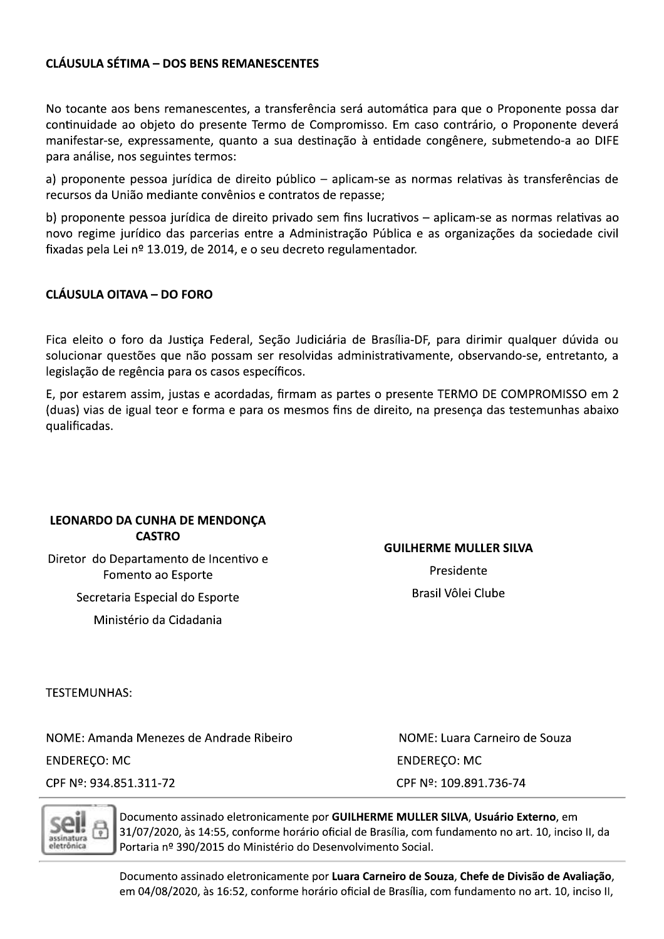## **CLÁUSULA SÉTIMA - DOS BENS REMANESCENTES**

No tocante aos bens remanescentes, a transferência será automática para que o Proponente possa dar continuidade ao objeto do presente Termo de Compromisso. Em caso contrário, o Proponente deverá manifestar-se, expressamente, quanto a sua destinação à entidade congênere, submetendo-a ao DIFE para análise, nos seguintes termos:

a) proponente pessoa jurídica de direito público - aplicam-se as normas relativas às transferências de recursos da União mediante convênios e contratos de repasse;

b) proponente pessoa jurídica de direito privado sem fins lucrativos – aplicam-se as normas relativas ao novo regime jurídico das parcerias entre a Administração Pública e as organizações da sociedade civil fixadas pela Lei nº 13.019, de 2014, e o seu decreto regulamentador.

#### **CLÁUSULA OITAVA - DO FORO**

Fica eleito o foro da Justiça Federal, Seção Judiciária de Brasília-DF, para dirimir qualquer dúvida ou solucionar questões que não possam ser resolvidas administrativamente, observando-se, entretanto, a legislação de regência para os casos específicos.

E, por estarem assim, justas e acordadas, firmam as partes o presente TERMO DE COMPROMISSO em 2 (duas) vias de igual teor e forma e para os mesmos fins de direito, na presenca das testemunhas abaixo qualificadas.

#### **LEONARDO DA CUNHA DE MENDONÇA CASTRO**

Diretor do Departamento de Incentivo e Fomento ao Esporte

Secretaria Especial do Esporte

Ministério da Cidadania

# **GUILHERME MULLER SILVA**

Presidente Brasil Vôlei Clube

**TESTEMUNHAS:** 

NOME: Amanda Menezes de Andrade Ribeiro **ENDEREÇO: MC** CPF Nº: 934.851.311-72

NOME: Luara Carneiro de Souza **ENDEREÇO: MC** CPF Nº: 109.891.736-74



Documento assinado eletronicamente por GUILHERME MULLER SILVA, Usuário Externo, em 31/07/2020, às 14:55, conforme horário oficial de Brasília, com fundamento no art. 10, inciso II, da Portaria nº 390/2015 do Ministério do Desenvolvimento Social.

Documento assinado eletronicamente por Luara Carneiro de Souza, Chefe de Divisão de Avaliação, em 04/08/2020, às 16:52, conforme horário oficial de Brasília, com fundamento no art. 10, inciso II,